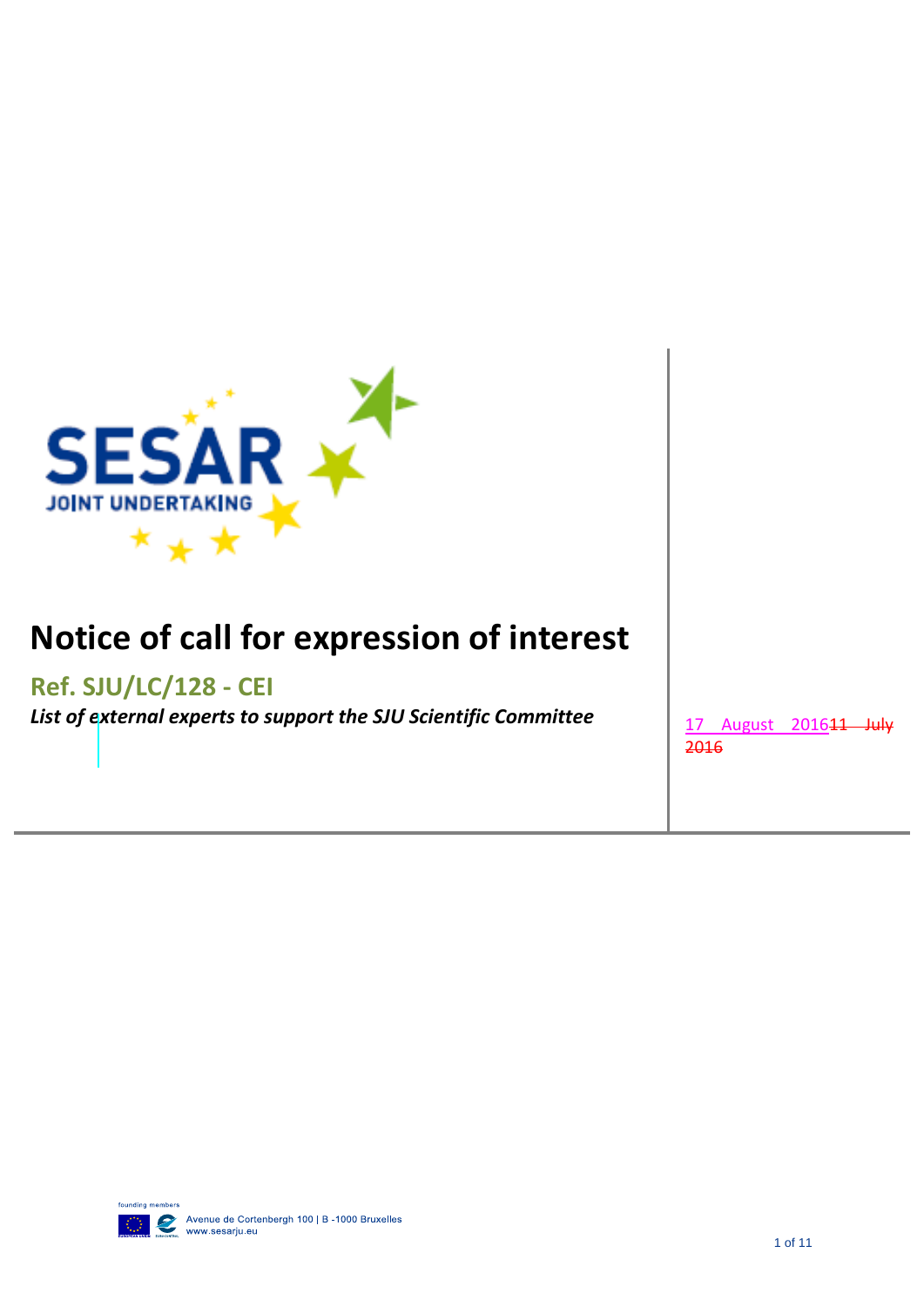

# **Notice of call for expression of interest**

# **Ref. SJU/LC/128 - CEI**

List of external experts to support the SJU Scientific Committee  $\vert$  17 August 2016<del>11 July</del>

2016

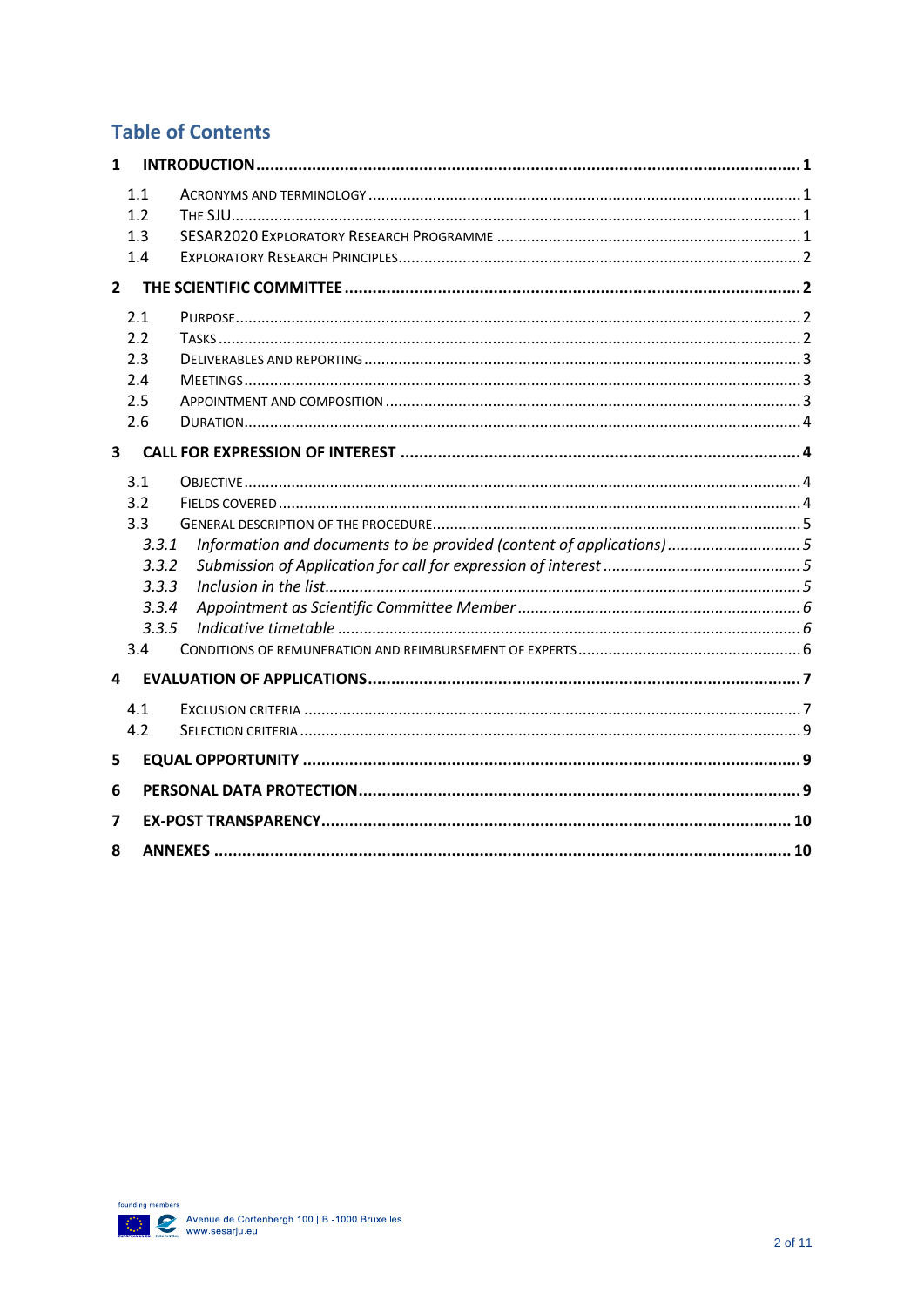# **Table of Contents**

| 1                       |                                                                       |                                                                     |  |  |  |
|-------------------------|-----------------------------------------------------------------------|---------------------------------------------------------------------|--|--|--|
|                         | 1.1<br>1.2<br>1.3<br>1.4                                              |                                                                     |  |  |  |
| $\mathbf{2}$            |                                                                       |                                                                     |  |  |  |
|                         | 2.1<br>2.2<br>2.3<br>2.4<br>2.5<br>2.6                                |                                                                     |  |  |  |
| $\overline{\mathbf{3}}$ |                                                                       |                                                                     |  |  |  |
|                         | 3.1<br>3.2<br>3.3<br>3.3.1<br>3.3.2<br>3.3.3<br>3.3.4<br>3.3.5<br>3.4 | Information and documents to be provided (content of applications)5 |  |  |  |
| 4                       |                                                                       |                                                                     |  |  |  |
|                         | 4.1<br>4.2                                                            |                                                                     |  |  |  |
| 5                       |                                                                       |                                                                     |  |  |  |
| 6                       |                                                                       |                                                                     |  |  |  |
| 7                       |                                                                       |                                                                     |  |  |  |
| 8                       |                                                                       |                                                                     |  |  |  |

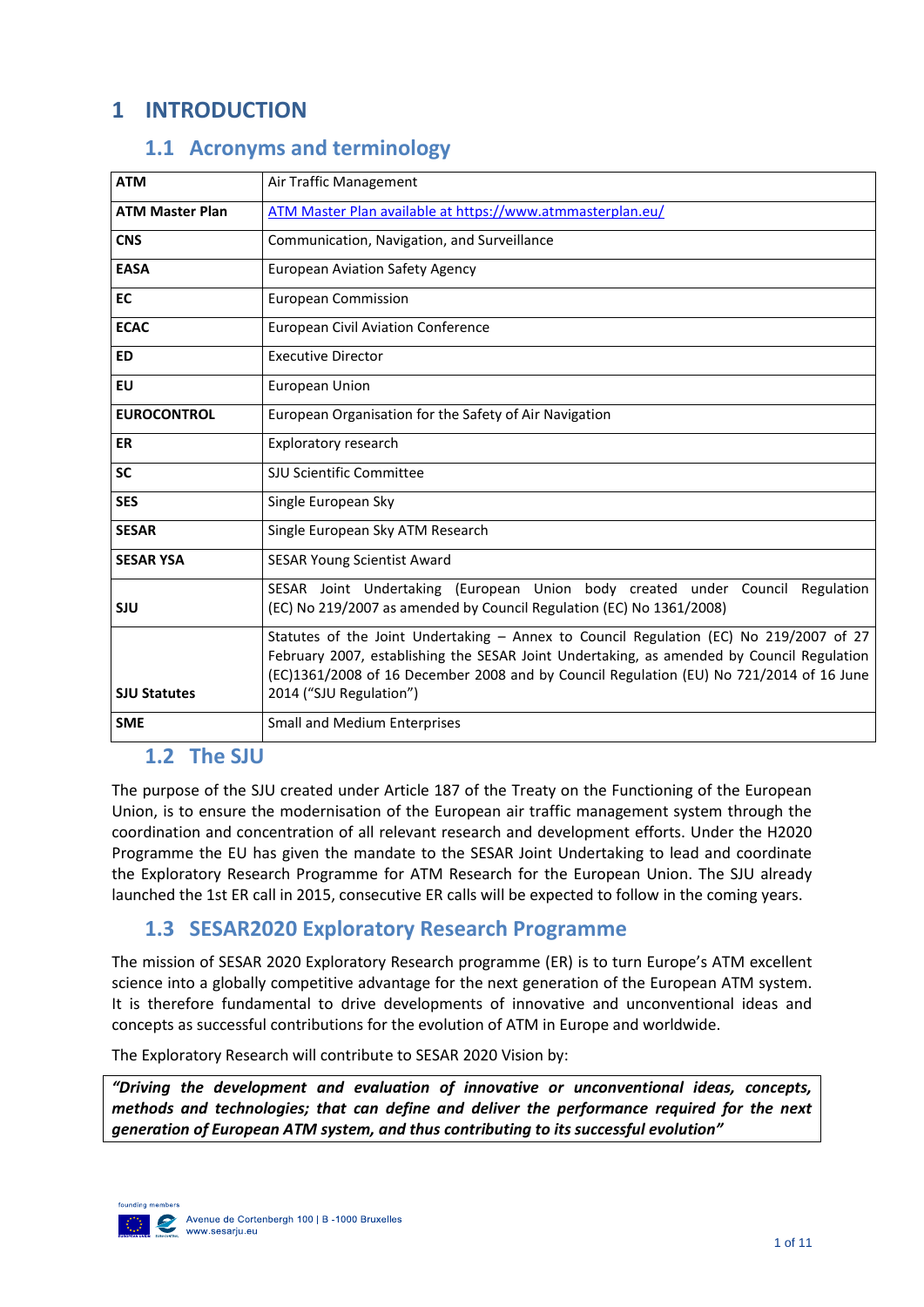# <span id="page-2-0"></span>**1 INTRODUCTION**

## **1.1 Acronyms and terminology**

<span id="page-2-1"></span>

| <b>ATM</b>             | Air Traffic Management                                                                                                                                                                                                                                                                                    |
|------------------------|-----------------------------------------------------------------------------------------------------------------------------------------------------------------------------------------------------------------------------------------------------------------------------------------------------------|
| <b>ATM Master Plan</b> | ATM Master Plan available at https://www.atmmasterplan.eu/                                                                                                                                                                                                                                                |
| <b>CNS</b>             | Communication, Navigation, and Surveillance                                                                                                                                                                                                                                                               |
| <b>EASA</b>            | <b>European Aviation Safety Agency</b>                                                                                                                                                                                                                                                                    |
| <b>EC</b>              | <b>European Commission</b>                                                                                                                                                                                                                                                                                |
| <b>ECAC</b>            | <b>European Civil Aviation Conference</b>                                                                                                                                                                                                                                                                 |
| <b>ED</b>              | <b>Executive Director</b>                                                                                                                                                                                                                                                                                 |
| EU                     | <b>European Union</b>                                                                                                                                                                                                                                                                                     |
| <b>EUROCONTROL</b>     | European Organisation for the Safety of Air Navigation                                                                                                                                                                                                                                                    |
| <b>ER</b>              | Exploratory research                                                                                                                                                                                                                                                                                      |
| <b>SC</b>              | SJU Scientific Committee                                                                                                                                                                                                                                                                                  |
| <b>SES</b>             | Single European Sky                                                                                                                                                                                                                                                                                       |
| <b>SESAR</b>           | Single European Sky ATM Research                                                                                                                                                                                                                                                                          |
| <b>SESAR YSA</b>       | <b>SESAR Young Scientist Award</b>                                                                                                                                                                                                                                                                        |
| <b>SJU</b>             | SESAR Joint Undertaking (European Union body created under Council Regulation<br>(EC) No 219/2007 as amended by Council Regulation (EC) No 1361/2008)                                                                                                                                                     |
| <b>SJU Statutes</b>    | Statutes of the Joint Undertaking - Annex to Council Regulation (EC) No 219/2007 of 27<br>February 2007, establishing the SESAR Joint Undertaking, as amended by Council Regulation<br>(EC)1361/2008 of 16 December 2008 and by Council Regulation (EU) No 721/2014 of 16 June<br>2014 ("SJU Regulation") |
| <b>SME</b>             | <b>Small and Medium Enterprises</b>                                                                                                                                                                                                                                                                       |

#### <span id="page-2-2"></span>**1.2 The SJU**

The purpose of the SJU created under Article 187 of the Treaty on the Functioning of the European Union, is to ensure the modernisation of the European air traffic management system through the coordination and concentration of all relevant research and development efforts. Under the H2020 Programme the EU has given the mandate to the SESAR Joint Undertaking to lead and coordinate the Exploratory Research Programme for ATM Research for the European Union. The SJU already launched the 1st ER call in 2015, consecutive ER calls will be expected to follow in the coming years.

#### <span id="page-2-3"></span>**1.3 SESAR2020 Exploratory Research Programme**

The mission of SESAR 2020 Exploratory Research programme (ER) is to turn Europe's ATM excellent science into a globally competitive advantage for the next generation of the European ATM system. It is therefore fundamental to drive developments of innovative and unconventional ideas and concepts as successful contributions for the evolution of ATM in Europe and worldwide.

The Exploratory Research will contribute to SESAR 2020 Vision by:

*"Driving the development and evaluation of innovative or unconventional ideas, concepts, methods and technologies; that can define and deliver the performance required for the next generation of European ATM system, and thus contributing to its successful evolution"*

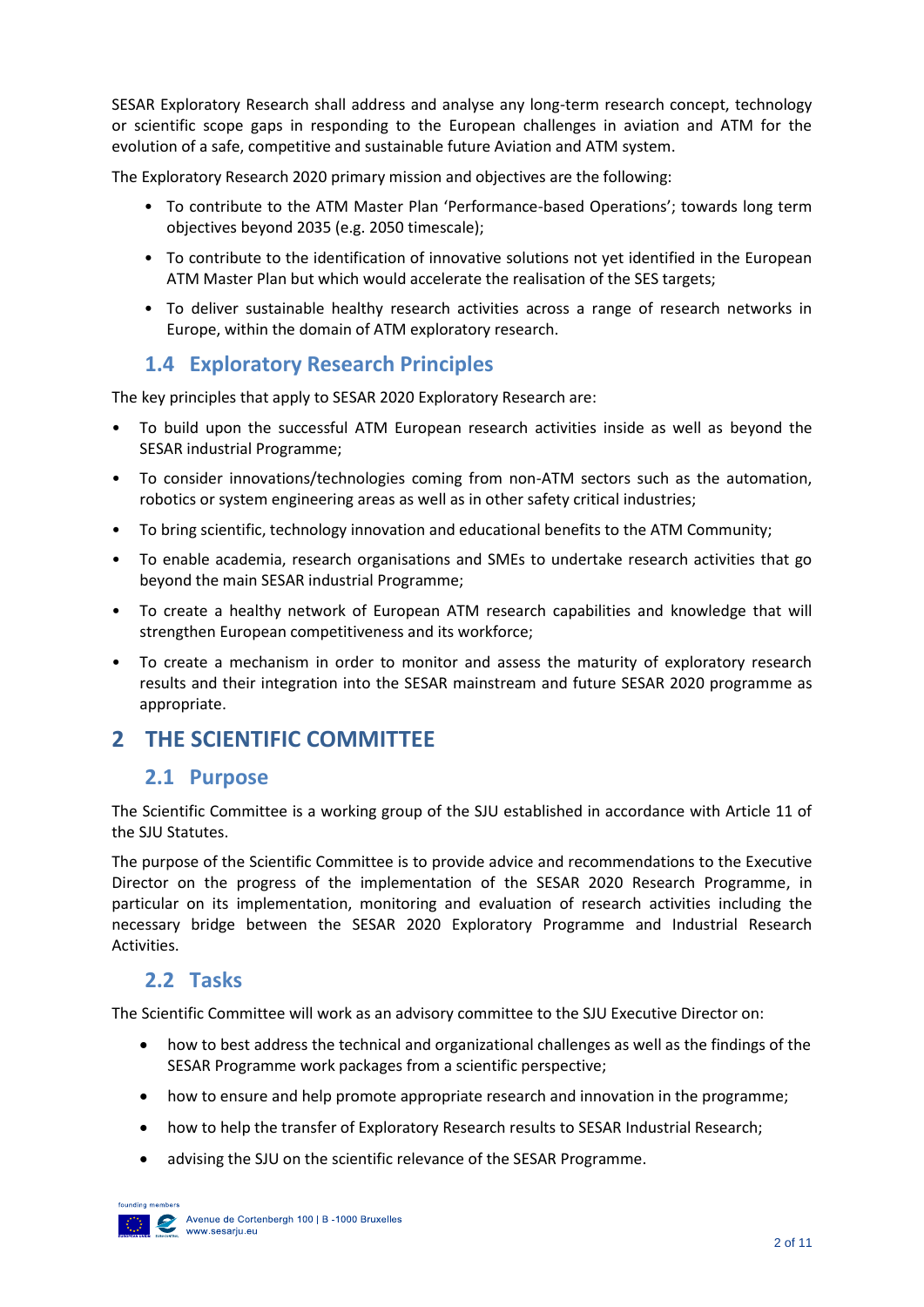SESAR Exploratory Research shall address and analyse any long-term research concept, technology or scientific scope gaps in responding to the European challenges in aviation and ATM for the evolution of a safe, competitive and sustainable future Aviation and ATM system.

The Exploratory Research 2020 primary mission and objectives are the following:

- To contribute to the ATM Master Plan 'Performance-based Operations'; towards long term objectives beyond 2035 (e.g. 2050 timescale);
- To contribute to the identification of innovative solutions not yet identified in the European ATM Master Plan but which would accelerate the realisation of the SES targets;
- To deliver sustainable healthy research activities across a range of research networks in Europe, within the domain of ATM exploratory research.

#### **1.4 Exploratory Research Principles**

<span id="page-3-0"></span>The key principles that apply to SESAR 2020 Exploratory Research are:

- To build upon the successful ATM European research activities inside as well as beyond the SESAR industrial Programme;
- To consider innovations/technologies coming from non-ATM sectors such as the automation, robotics or system engineering areas as well as in other safety critical industries;
- To bring scientific, technology innovation and educational benefits to the ATM Community;
- To enable academia, research organisations and SMEs to undertake research activities that go beyond the main SESAR industrial Programme;
- To create a healthy network of European ATM research capabilities and knowledge that will strengthen European competitiveness and its workforce;
- To create a mechanism in order to monitor and assess the maturity of exploratory research results and their integration into the SESAR mainstream and future SESAR 2020 programme as appropriate.

# <span id="page-3-2"></span><span id="page-3-1"></span>**2 THE SCIENTIFIC COMMITTEE**

#### **2.1 Purpose**

The Scientific Committee is a working group of the SJU established in accordance with Article 11 of the SJU Statutes.

The purpose of the Scientific Committee is to provide advice and recommendations to the Executive Director on the progress of the implementation of the SESAR 2020 Research Programme, in particular on its implementation, monitoring and evaluation of research activities including the necessary bridge between the SESAR 2020 Exploratory Programme and Industrial Research Activities.

## <span id="page-3-3"></span>**2.2 Tasks**

The Scientific Committee will work as an advisory committee to the SJU Executive Director on:

- how to best address the technical and organizational challenges as well as the findings of the SESAR Programme work packages from a scientific perspective;
- how to ensure and help promote appropriate research and innovation in the programme;
- how to help the transfer of Exploratory Research results to SESAR Industrial Research;
- advising the SJU on the scientific relevance of the SESAR Programme.

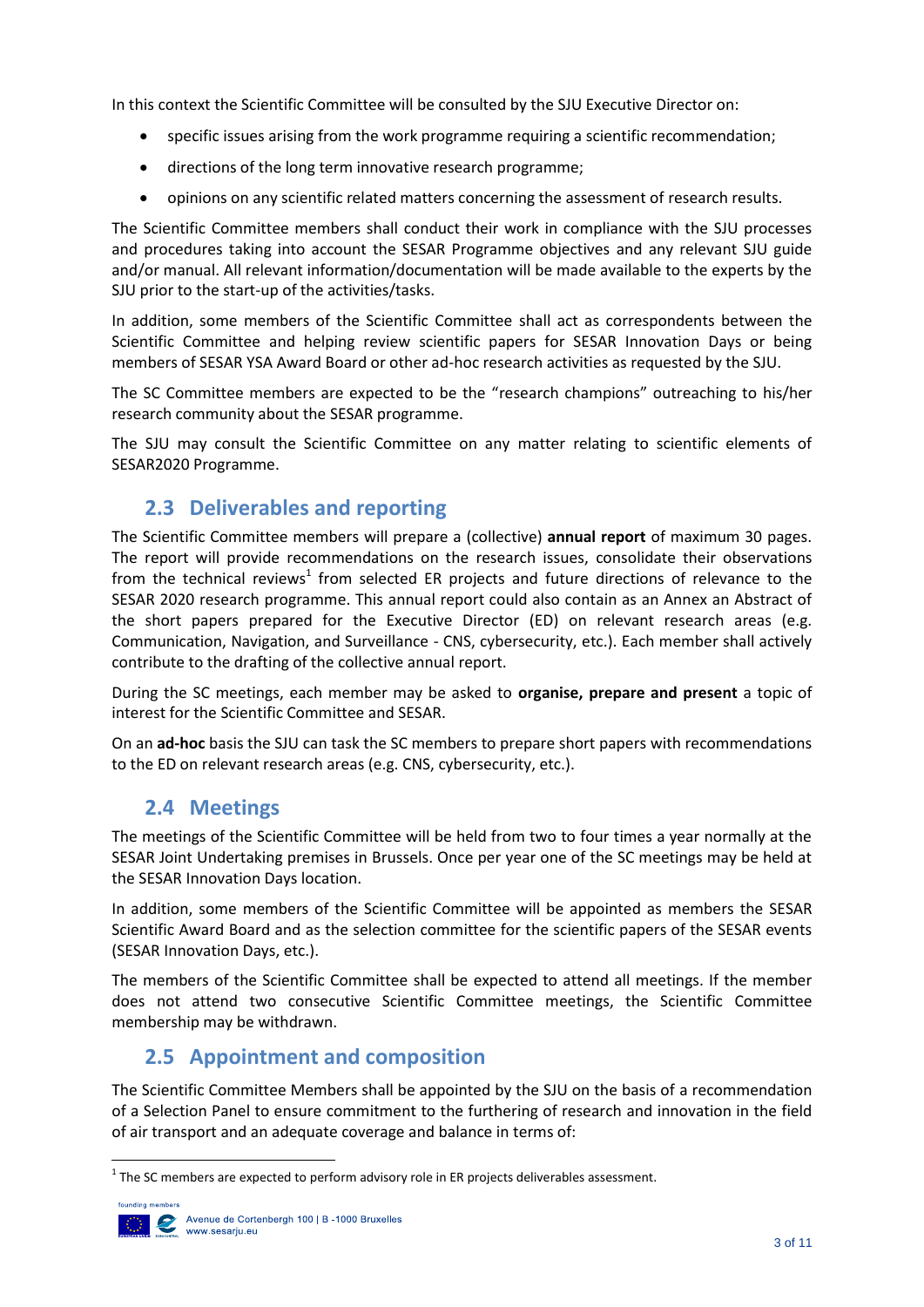In this context the Scientific Committee will be consulted by the SJU Executive Director on:

- specific issues arising from the work programme requiring a scientific recommendation;
- directions of the long term innovative research programme;
- opinions on any scientific related matters concerning the assessment of research results.

The Scientific Committee members shall conduct their work in compliance with the SJU processes and procedures taking into account the SESAR Programme objectives and any relevant SJU guide and/or manual. All relevant information/documentation will be made available to the experts by the SJU prior to the start-up of the activities/tasks.

In addition, some members of the Scientific Committee shall act as correspondents between the Scientific Committee and helping review scientific papers for SESAR Innovation Days or being members of SESAR YSA Award Board or other ad-hoc research activities as requested by the SJU.

The SC Committee members are expected to be the "research champions" outreaching to his/her research community about the SESAR programme.

The SJU may consult the Scientific Committee on any matter relating to scientific elements of SESAR2020 Programme.

# <span id="page-4-0"></span>**2.3 Deliverables and reporting**

The Scientific Committee members will prepare a (collective) **annual report** of maximum 30 pages. The report will provide recommendations on the research issues, consolidate their observations from the technical reviews<sup>1</sup> from selected ER projects and future directions of relevance to the SESAR 2020 research programme. This annual report could also contain as an Annex an Abstract of the short papers prepared for the Executive Director (ED) on relevant research areas (e.g. Communication, Navigation, and Surveillance - CNS, cybersecurity, etc.). Each member shall actively contribute to the drafting of the collective annual report.

During the SC meetings, each member may be asked to **organise, prepare and present** a topic of interest for the Scientific Committee and SESAR.

On an **ad-hoc** basis the SJU can task the SC members to prepare short papers with recommendations to the ED on relevant research areas (e.g. CNS, cybersecurity, etc.).

## <span id="page-4-1"></span>**2.4 Meetings**

The meetings of the Scientific Committee will be held from two to four times a year normally at the SESAR Joint Undertaking premises in Brussels. Once per year one of the SC meetings may be held at the SESAR Innovation Days location.

In addition, some members of the Scientific Committee will be appointed as members the SESAR Scientific Award Board and as the selection committee for the scientific papers of the SESAR events (SESAR Innovation Days, etc.).

The members of the Scientific Committee shall be expected to attend all meetings. If the member does not attend two consecutive Scientific Committee meetings, the Scientific Committee membership may be withdrawn.

# <span id="page-4-2"></span>**2.5 Appointment and composition**

The Scientific Committee Members shall be appointed by the SJU on the basis of a recommendation of a Selection Panel to ensure commitment to the furthering of research and innovation in the field of air transport and an adequate coverage and balance in terms of:

 $1$  The SC members are expected to perform advisory role in ER projects deliverables assessment.

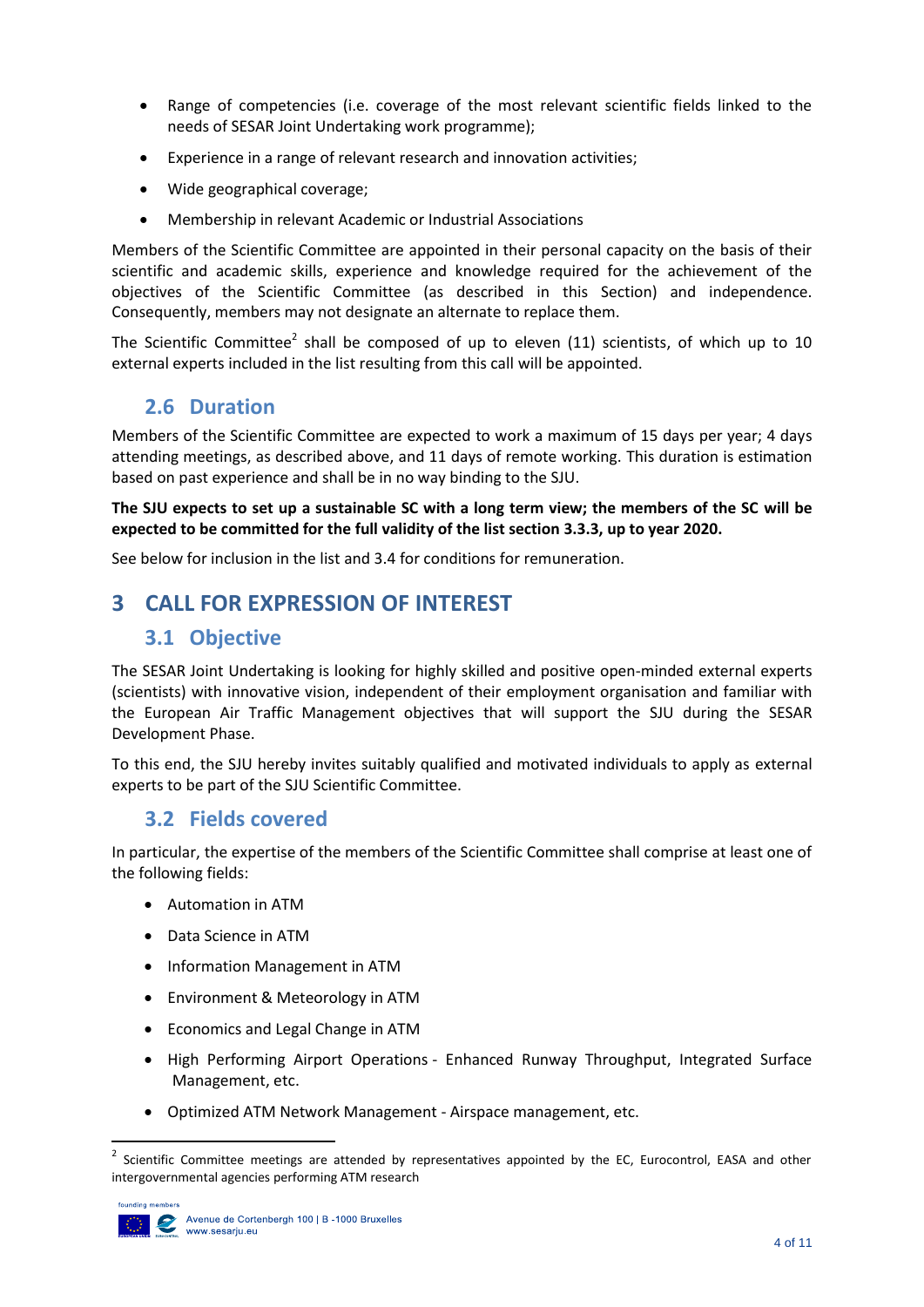- Range of competencies (i.e. coverage of the most relevant scientific fields linked to the needs of SESAR Joint Undertaking work programme);
- Experience in a range of relevant research and innovation activities;
- Wide geographical coverage;
- Membership in relevant Academic or Industrial Associations

Members of the Scientific Committee are appointed in their personal capacity on the basis of their scientific and academic skills, experience and knowledge required for the achievement of the objectives of the Scientific Committee (as described in this Section) and independence. Consequently, members may not designate an alternate to replace them.

The Scientific Committee<sup>2</sup> shall be composed of up to eleven (11) scientists, of which up to 10 external experts included in the list resulting from this call will be appointed.

## <span id="page-5-0"></span>**2.6 Duration**

Members of the Scientific Committee are expected to work a maximum of 15 days per year; 4 days attending meetings, as described above, and 11 days of remote working. This duration is estimation based on past experience and shall be in no way binding to the SJU.

#### **The SJU expects to set up a sustainable SC with a long term view; the members of the SC will be expected to be committed for the full validity of the list section [3.3.3,](#page-6-3) up to year 2020.**

See below for inclusion in the list and [3.4](#page-7-2) for conditions for remuneration.

# <span id="page-5-2"></span><span id="page-5-1"></span>**3 CALL FOR EXPRESSION OF INTEREST**

## <span id="page-5-4"></span>**3.1 Objective**

The SESAR Joint Undertaking is looking for highly skilled and positive open-minded external experts (scientists) with innovative vision, independent of their employment organisation and familiar with the European Air Traffic Management objectives that will support the SJU during the SESAR Development Phase.

To this end, the SJU hereby invites suitably qualified and motivated individuals to apply as external experts to be part of the SJU Scientific Committee.

#### <span id="page-5-3"></span>**3.2 Fields covered**

In particular, the expertise of the members of the Scientific Committee shall comprise at least one of the following fields:

- Automation in ATM
- Data Science in ATM
- Information Management in ATM
- Environment & Meteorology in ATM
- Economics and Legal Change in ATM
- High Performing Airport Operations Enhanced Runway Throughput, Integrated Surface Management, etc.
- Optimized ATM Network Management Airspace management, etc.

<sup>2</sup> Scientific Committee meetings are attended by representatives appointed by the EC, Eurocontrol, EASA and other intergovernmental agencies performing ATM research

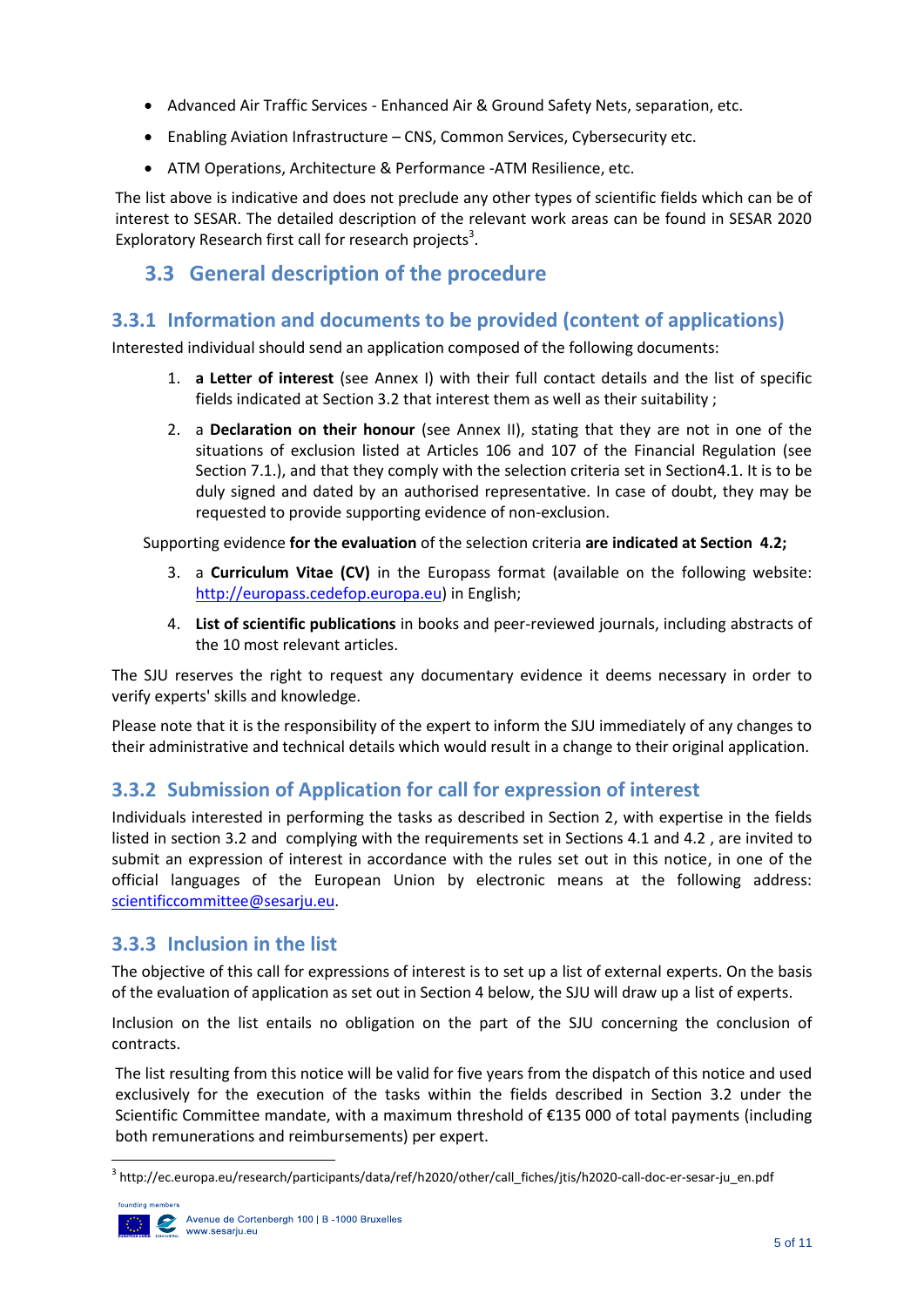- Advanced Air Traffic Services Enhanced Air & Ground Safety Nets, separation, etc.
- Enabling Aviation Infrastructure CNS, Common Services, Cybersecurity etc.
- ATM Operations, Architecture & Performance ‐ATM Resilience, etc.

The list above is indicative and does not preclude any other types of scientific fields which can be of interest to SESAR. The detailed description of the relevant work areas can be found in SESAR 2020 Exploratory Research first call for research projects<sup>3</sup>.

# <span id="page-6-0"></span>**3.3 General description of the procedure**

#### <span id="page-6-1"></span>**3.3.1 Information and documents to be provided (content of applications)**

Interested individual should send an application composed of the following documents:

- 1. **a Letter of interest** (see Annex I) with their full contact details and the list of specific fields indicated at Sectio[n 3.2](#page-5-3) that interest them as well as their suitability ;
- 2. a **Declaration on their honour** (see Annex II), stating that they are not in one of the situations of exclusion listed at Articles 106 and 107 of the Financial Regulation (see Section 7.1.), and that they comply with the selection criteria set in Sectio[n4.1.](#page-8-1) It is to be duly signed and dated by an authorised representative. In case of doubt, they may be requested to provide supporting evidence of non-exclusion.

Supporting evidence **for the evaluation** of the selection criteria **are indicated at Section [4.2;](#page-10-0)**

- 3. a **Curriculum Vitae (CV)** in the Europass format (available on the following website: [http://europass.cedefop.europa.eu\)](http://europass.cedefop.europa.eu/) in English;
- 4. **List of scientific publications** in books and peer-reviewed journals, including abstracts of the 10 most relevant articles.

The SJU reserves the right to request any documentary evidence it deems necessary in order to verify experts' skills and knowledge.

Please note that it is the responsibility of the expert to inform the SJU immediately of any changes to their administrative and technical details which would result in a change to their original application.

#### <span id="page-6-2"></span>**3.3.2 Submission of Application for call for expression of interest**

Individuals interested in performing the tasks as described in Section 2, with expertise in the fields listed in section 3.2 and complying with the requirements set in Sections [4.1](#page-8-1) and [4.2](#page-10-0) , are invited to submit an expression of interest in accordance with the rules set out in this notice, in one of the official languages of the European Union by electronic means at the following address: [scientificcommittee@sesarju.eu.](mailto:scientificcommittee@sesarju.eu)

#### <span id="page-6-3"></span>**3.3.3 Inclusion in the list**

The objective of this call for expressions of interest is to set up a list of external experts. On the basis of the evaluation of application as set out in Section 4 below, the SJU will draw up a list of experts.

Inclusion on the list entails no obligation on the part of the SJU concerning the conclusion of contracts.

The list resulting from this notice will be valid for five years from the dispatch of this notice and used exclusively for the execution of the tasks within the fields described in Section [3.2](#page-5-3) under the Scientific Committee mandate, with a maximum threshold of €135 000 of total payments (including both remunerations and reimbursements) per expert.

<sup>&</sup>lt;sup>3</sup> http://ec.europa.eu/research/participants/data/ref/h2020/other/call\_fiches/jtis/h2020-call-doc-er-sesar-ju\_en.pdf

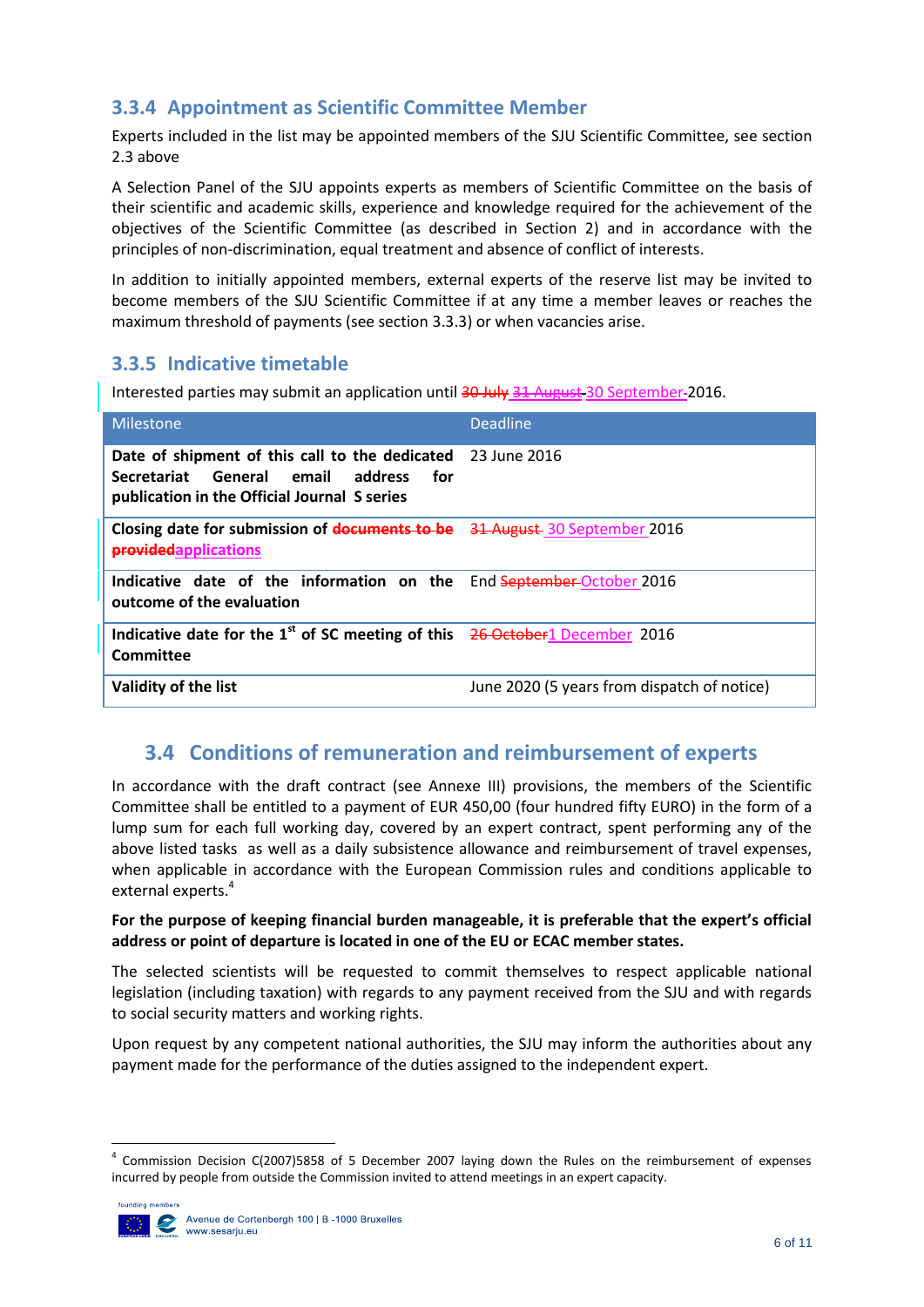# <span id="page-7-0"></span>**3.3.4 Appointment as Scientific Committee Member**

Experts included in the list may be appointed members of the SJU Scientific Committee, see section 2.3 above

A Selection Panel of the SJU appoints experts as members of Scientific Committee on the basis of their scientific and academic skills, experience and knowledge required for the achievement of the objectives of the Scientific Committee (as described in Section [2\)](#page-3-1) and in accordance with the principles of non-discrimination, equal treatment and absence of conflict of interests.

In addition to initially appointed members, external experts of the reserve list may be invited to become members of the SJU Scientific Committee if at any time a member leaves or reaches the maximum threshold of payments (see section [3.3.3\)](#page-6-3) or when vacancies arise.

## <span id="page-7-1"></span>**3.3.5 Indicative timetable**

Interested parties may submit an application until 30 July 31 August 30 September-2016.

| <b>Milestone</b>                                                                                                                           | <b>Deadline</b>                             |
|--------------------------------------------------------------------------------------------------------------------------------------------|---------------------------------------------|
| Date of shipment of this call to the dedicated<br>Secretariat General email address<br>for<br>publication in the Official Journal S series | 23 June 2016                                |
| Closing date for submission of documents to be 31 August 30 September 2016<br>providedapplications                                         |                                             |
| Indicative date of the information on the End September-October 2016<br>outcome of the evaluation                                          |                                             |
| Indicative date for the $1st$ of SC meeting of this 26-October 1 December 2016<br>Committee                                                |                                             |
| Validity of the list                                                                                                                       | June 2020 (5 years from dispatch of notice) |

# <span id="page-7-2"></span>**3.4 Conditions of remuneration and reimbursement of experts**

In accordance with the draft contract (see Annexe III) provisions, the members of the Scientific Committee shall be entitled to a payment of EUR 450,00 (four hundred fifty EURO) in the form of a lump sum for each full working day, covered by an expert contract, spent performing any of the above listed tasks as well as a daily subsistence allowance and reimbursement of travel expenses, when applicable in accordance with the European Commission rules and conditions applicable to external experts.<sup>4</sup>

#### **For the purpose of keeping financial burden manageable, it is preferable that the expert's official address or point of departure is located in one of the EU or ECAC member states.**

The selected scientists will be requested to commit themselves to respect applicable national legislation (including taxation) with regards to any payment received from the SJU and with regards to social security matters and working rights.

Upon request by any competent national authorities, the SJU may inform the authorities about any payment made for the performance of the duties assigned to the independent expert.

**<sup>.</sup>** 4 Commission Decision C(2007)5858 of 5 December 2007 laying down the Rules on the reimbursement of expenses incurred by people from outside the Commission invited to attend meetings in an expert capacity.

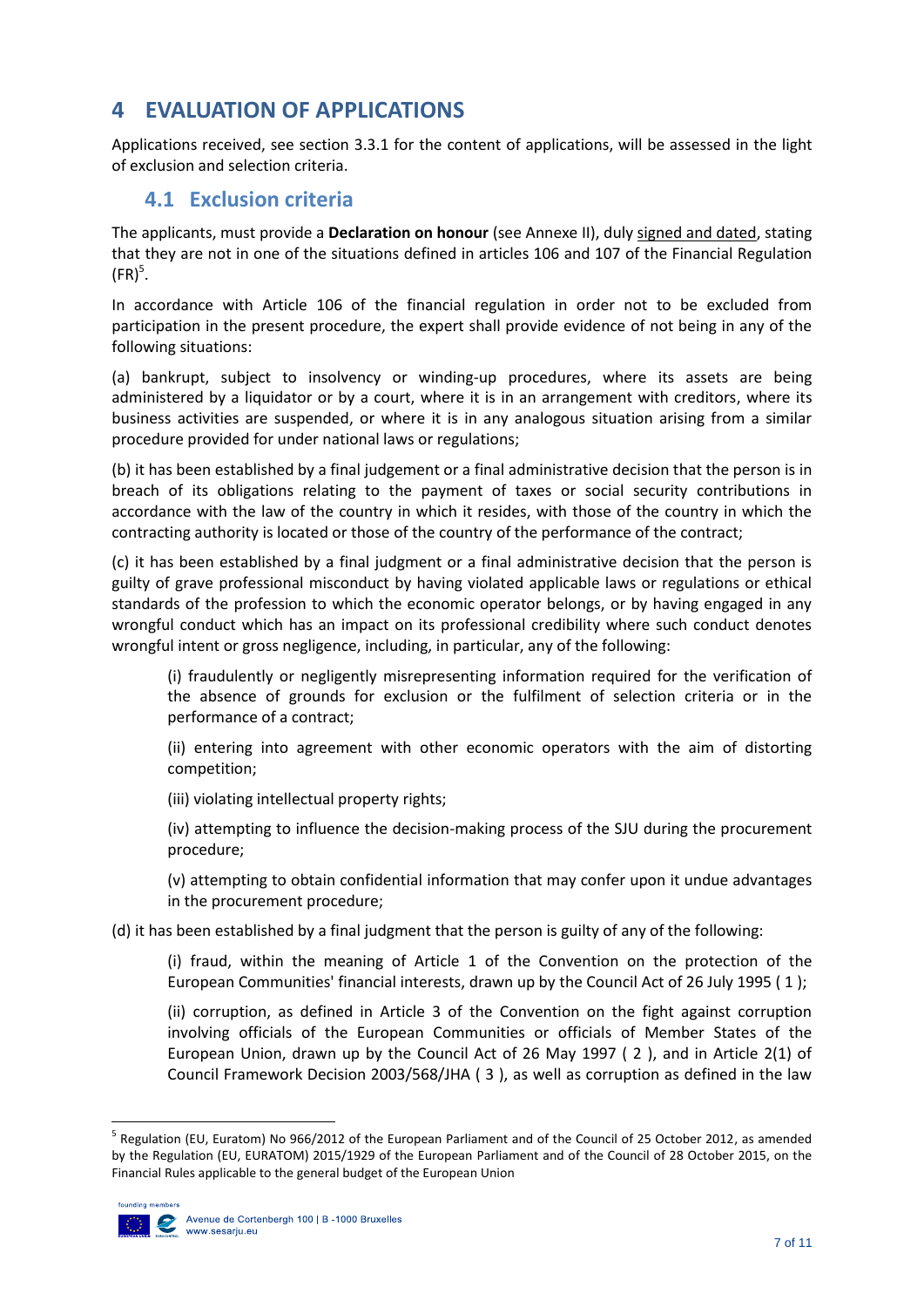# <span id="page-8-0"></span>**4 EVALUATION OF APPLICATIONS**

Applications received, see section [3.3.1](#page-6-1) for the content of applications, will be assessed in the light of exclusion and selection criteria.

## <span id="page-8-1"></span>**4.1 Exclusion criteria**

The applicants, must provide a **Declaration on honour** (see Annexe II), duly signed and dated, stating that they are not in one of the situations defined in articles 106 and 107 of the Financial Regulation  $(FR)<sup>5</sup>$ .

In accordance with Article 106 of the financial regulation in order not to be excluded from participation in the present procedure, the expert shall provide evidence of not being in any of the following situations:

(a) bankrupt, subject to insolvency or winding-up procedures, where its assets are being administered by a liquidator or by a court, where it is in an arrangement with creditors, where its business activities are suspended, or where it is in any analogous situation arising from a similar procedure provided for under national laws or regulations;

(b) it has been established by a final judgement or a final administrative decision that the person is in breach of its obligations relating to the payment of taxes or social security contributions in accordance with the law of the country in which it resides, with those of the country in which the contracting authority is located or those of the country of the performance of the contract;

(c) it has been established by a final judgment or a final administrative decision that the person is guilty of grave professional misconduct by having violated applicable laws or regulations or ethical standards of the profession to which the economic operator belongs, or by having engaged in any wrongful conduct which has an impact on its professional credibility where such conduct denotes wrongful intent or gross negligence, including, in particular, any of the following:

(i) fraudulently or negligently misrepresenting information required for the verification of the absence of grounds for exclusion or the fulfilment of selection criteria or in the performance of a contract;

(ii) entering into agreement with other economic operators with the aim of distorting competition;

(iii) violating intellectual property rights;

(iv) attempting to influence the decision-making process of the SJU during the procurement procedure;

(v) attempting to obtain confidential information that may confer upon it undue advantages in the procurement procedure;

(d) it has been established by a final judgment that the person is guilty of any of the following:

(i) fraud, within the meaning of Article 1 of the Convention on the protection of the European Communities' financial interests, drawn up by the Council Act of 26 July 1995 ( 1 );

(ii) corruption, as defined in Article 3 of the Convention on the fight against corruption involving officials of the European Communities or officials of Member States of the European Union, drawn up by the Council Act of 26 May 1997 ( 2 ), and in Article 2(1) of Council Framework Decision 2003/568/JHA ( 3 ), as well as corruption as defined in the law

 5 Regulation (EU, Euratom) No 966/2012 of the European Parliament and of the Council of 25 October 2012, as amended by the Regulation (EU, EURATOM) 2015/1929 of the European Parliament and of the Council of 28 October 2015, on the Financial Rules applicable to the general budget of the European Union

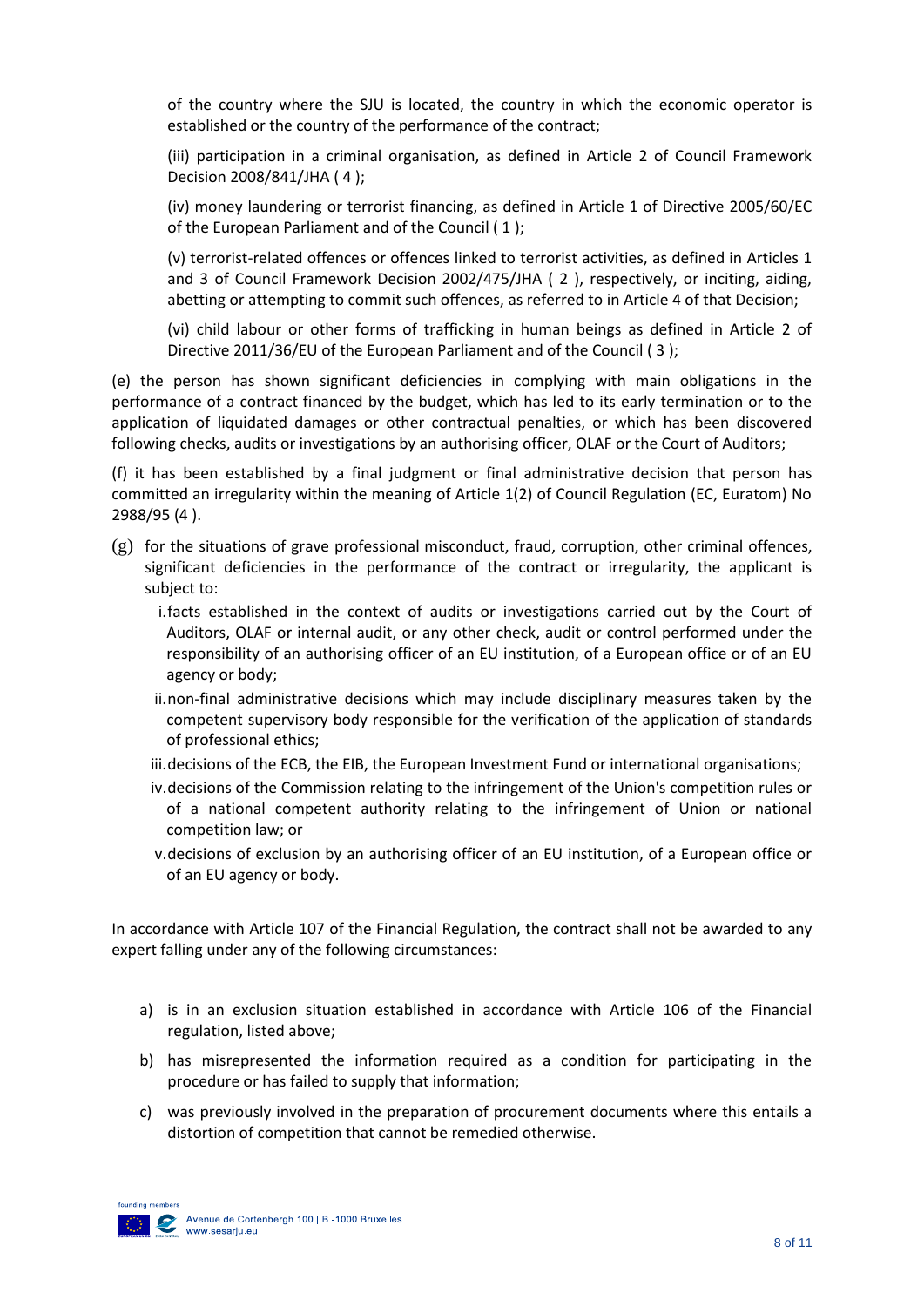of the country where the SJU is located, the country in which the economic operator is established or the country of the performance of the contract;

(iii) participation in a criminal organisation, as defined in Article 2 of Council Framework Decision 2008/841/JHA ( 4 );

(iv) money laundering or terrorist financing, as defined in Article 1 of Directive 2005/60/EC of the European Parliament and of the Council ( 1 );

(v) terrorist-related offences or offences linked to terrorist activities, as defined in Articles 1 and 3 of Council Framework Decision 2002/475/JHA ( 2 ), respectively, or inciting, aiding, abetting or attempting to commit such offences, as referred to in Article 4 of that Decision;

(vi) child labour or other forms of trafficking in human beings as defined in Article 2 of Directive 2011/36/EU of the European Parliament and of the Council ( 3 );

(e) the person has shown significant deficiencies in complying with main obligations in the performance of a contract financed by the budget, which has led to its early termination or to the application of liquidated damages or other contractual penalties, or which has been discovered following checks, audits or investigations by an authorising officer, OLAF or the Court of Auditors;

(f) it has been established by a final judgment or final administrative decision that person has committed an irregularity within the meaning of Article 1(2) of Council Regulation (EC, Euratom) No 2988/95 (4 ).

- (g) for the situations of grave professional misconduct, fraud, corruption, other criminal offences, significant deficiencies in the performance of the contract or irregularity, the applicant is subject to:
	- i.facts established in the context of audits or investigations carried out by the Court of Auditors, OLAF or internal audit, or any other check, audit or control performed under the responsibility of an authorising officer of an EU institution, of a European office or of an EU agency or body;
	- ii.non-final administrative decisions which may include disciplinary measures taken by the competent supervisory body responsible for the verification of the application of standards of professional ethics;
	- iii.decisions of the ECB, the EIB, the European Investment Fund or international organisations;
	- iv.decisions of the Commission relating to the infringement of the Union's competition rules or of a national competent authority relating to the infringement of Union or national competition law; or
	- v.decisions of exclusion by an authorising officer of an EU institution, of a European office or of an EU agency or body.

In accordance with Article 107 of the Financial Regulation, the contract shall not be awarded to any expert falling under any of the following circumstances:

- a) is in an exclusion situation established in accordance with Article 106 of the Financial regulation, listed above;
- b) has misrepresented the information required as a condition for participating in the procedure or has failed to supply that information;
- c) was previously involved in the preparation of procurement documents where this entails a distortion of competition that cannot be remedied otherwise.

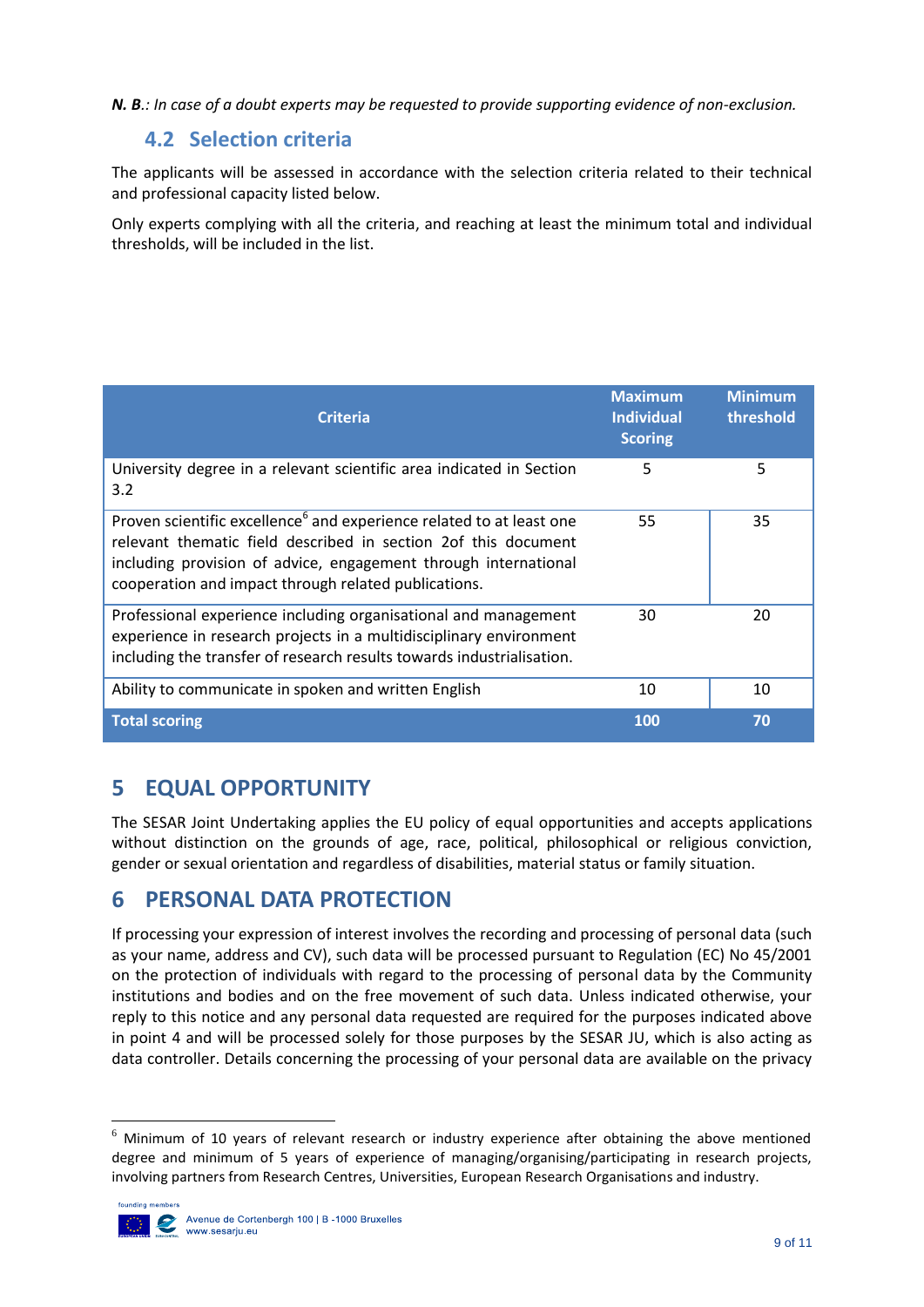<span id="page-10-0"></span>*N. B.: In case of a doubt experts may be requested to provide supporting evidence of non-exclusion.*

# **4.2 Selection criteria**

The applicants will be assessed in accordance with the selection criteria related to their technical and professional capacity listed below.

Only experts complying with all the criteria, and reaching at least the minimum total and individual thresholds, will be included in the list.

| <b>Criteria</b>                                                                                                                                                                                                                                                               | <b>Maximum</b><br><b>Individual</b><br><b>Scoring</b> | <b>Minimum</b><br>threshold |
|-------------------------------------------------------------------------------------------------------------------------------------------------------------------------------------------------------------------------------------------------------------------------------|-------------------------------------------------------|-----------------------------|
| University degree in a relevant scientific area indicated in Section<br>3.2                                                                                                                                                                                                   | 5                                                     | 5                           |
| Proven scientific excellence <sup>6</sup> and experience related to at least one<br>relevant thematic field described in section 2of this document<br>including provision of advice, engagement through international<br>cooperation and impact through related publications. | 55                                                    | 35                          |
| Professional experience including organisational and management<br>experience in research projects in a multidisciplinary environment<br>including the transfer of research results towards industrialisation.                                                                | 30                                                    | 20                          |
| Ability to communicate in spoken and written English                                                                                                                                                                                                                          | 10                                                    | 10                          |
| <b>Total scoring</b>                                                                                                                                                                                                                                                          | 100                                                   | 70                          |

# <span id="page-10-1"></span>**5 EQUAL OPPORTUNITY**

The SESAR Joint Undertaking applies the EU policy of equal opportunities and accepts applications without distinction on the grounds of age, race, political, philosophical or religious conviction, gender or sexual orientation and regardless of disabilities, material status or family situation.

# <span id="page-10-2"></span>**6 PERSONAL DATA PROTECTION**

If processing your expression of interest involves the recording and processing of personal data (such as your name, address and CV), such data will be processed pursuant to Regulation (EC) No 45/2001 on the protection of individuals with regard to the processing of personal data by the Community institutions and bodies and on the free movement of such data. Unless indicated otherwise, your reply to this notice and any personal data requested are required for the purposes indicated above in point 4 and will be processed solely for those purposes by the SESAR JU, which is also acting as data controller. Details concerning the processing of your personal data are available on the privacy

 $6$  Minimum of 10 years of relevant research or industry experience after obtaining the above mentioned degree and minimum of 5 years of experience of managing/organising/participating in research projects, involving partners from Research Centres, Universities, European Research Organisations and industry.